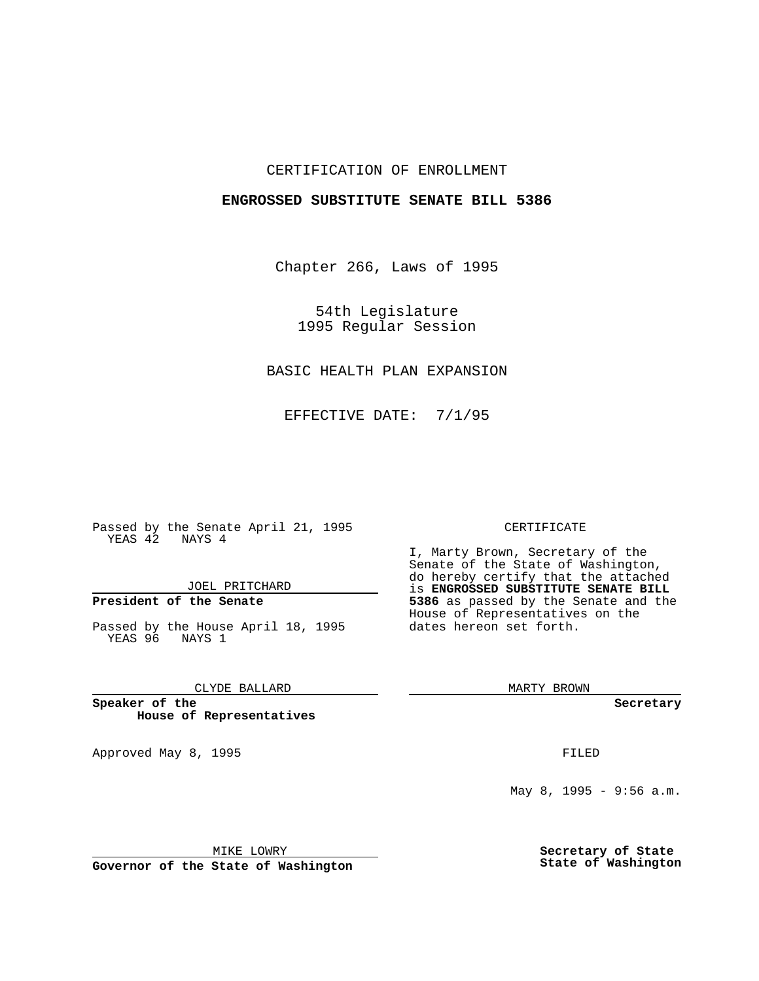#### CERTIFICATION OF ENROLLMENT

#### **ENGROSSED SUBSTITUTE SENATE BILL 5386**

Chapter 266, Laws of 1995

54th Legislature 1995 Regular Session

# BASIC HEALTH PLAN EXPANSION

EFFECTIVE DATE: 7/1/95

Passed by the Senate April 21, 1995 YEAS  $\overline{42}$  NAYS 4

JOEL PRITCHARD

## **President of the Senate**

Passed by the House April 18, 1995 YEAS 96 NAYS 1

CLYDE BALLARD

**Speaker of the House of Representatives**

Approved May 8, 1995 FILED

#### CERTIFICATE

I, Marty Brown, Secretary of the Senate of the State of Washington, do hereby certify that the attached is **ENGROSSED SUBSTITUTE SENATE BILL 5386** as passed by the Senate and the House of Representatives on the dates hereon set forth.

MARTY BROWN

**Secretary**

May 8, 1995 - 9:56 a.m.

MIKE LOWRY

**Governor of the State of Washington**

**Secretary of State State of Washington**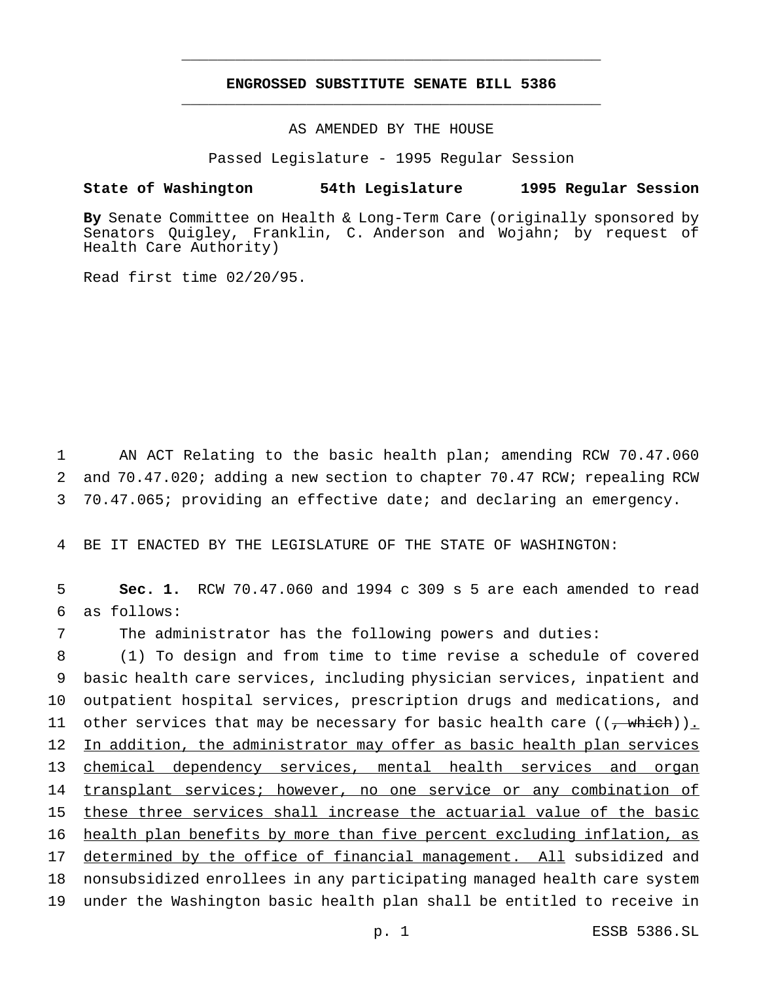### **ENGROSSED SUBSTITUTE SENATE BILL 5386** \_\_\_\_\_\_\_\_\_\_\_\_\_\_\_\_\_\_\_\_\_\_\_\_\_\_\_\_\_\_\_\_\_\_\_\_\_\_\_\_\_\_\_\_\_\_\_

\_\_\_\_\_\_\_\_\_\_\_\_\_\_\_\_\_\_\_\_\_\_\_\_\_\_\_\_\_\_\_\_\_\_\_\_\_\_\_\_\_\_\_\_\_\_\_

#### AS AMENDED BY THE HOUSE

Passed Legislature - 1995 Regular Session

#### **State of Washington 54th Legislature 1995 Regular Session**

**By** Senate Committee on Health & Long-Term Care (originally sponsored by Senators Quigley, Franklin, C. Anderson and Wojahn; by request of Health Care Authority)

Read first time 02/20/95.

1 AN ACT Relating to the basic health plan; amending RCW 70.47.060 2 and 70.47.020; adding a new section to chapter 70.47 RCW; repealing RCW 3 70.47.065; providing an effective date; and declaring an emergency.

4 BE IT ENACTED BY THE LEGISLATURE OF THE STATE OF WASHINGTON:

5 **Sec. 1.** RCW 70.47.060 and 1994 c 309 s 5 are each amended to read 6 as follows:

7 The administrator has the following powers and duties:

8 (1) To design and from time to time revise a schedule of covered 9 basic health care services, including physician services, inpatient and 10 outpatient hospital services, prescription drugs and medications, and 11 other services that may be necessary for basic health care  $((, \text{which}))_{\perp}$ 12 In addition, the administrator may offer as basic health plan services 13 chemical dependency services, mental health services and organ 14 transplant services; however, no one service or any combination of 15 these three services shall increase the actuarial value of the basic 16 health plan benefits by more than five percent excluding inflation, as 17 determined by the office of financial management. All subsidized and 18 nonsubsidized enrollees in any participating managed health care system 19 under the Washington basic health plan shall be entitled to receive in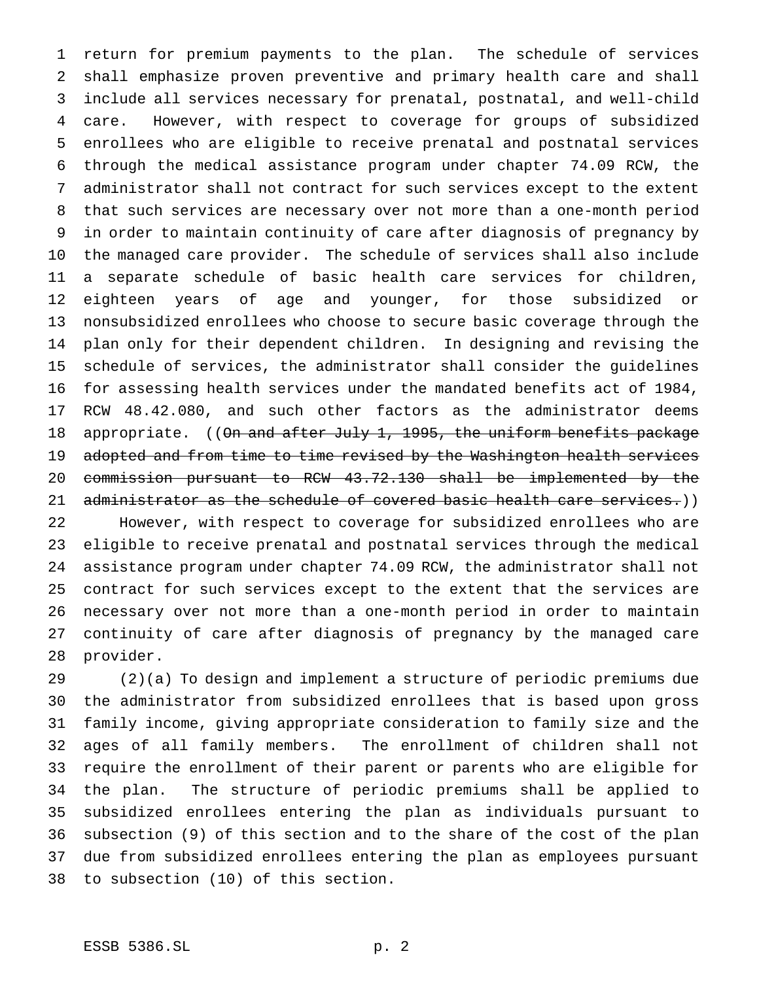return for premium payments to the plan. The schedule of services shall emphasize proven preventive and primary health care and shall include all services necessary for prenatal, postnatal, and well-child care. However, with respect to coverage for groups of subsidized enrollees who are eligible to receive prenatal and postnatal services through the medical assistance program under chapter 74.09 RCW, the administrator shall not contract for such services except to the extent that such services are necessary over not more than a one-month period in order to maintain continuity of care after diagnosis of pregnancy by the managed care provider. The schedule of services shall also include a separate schedule of basic health care services for children, eighteen years of age and younger, for those subsidized or nonsubsidized enrollees who choose to secure basic coverage through the plan only for their dependent children. In designing and revising the schedule of services, the administrator shall consider the guidelines for assessing health services under the mandated benefits act of 1984, RCW 48.42.080, and such other factors as the administrator deems 18 appropriate. ((On and after July 1, 1995, the uniform benefits package 19 adopted and from time to time revised by the Washington health services commission pursuant to RCW 43.72.130 shall be implemented by the 21 administrator as the schedule of covered basic health care services.)) However, with respect to coverage for subsidized enrollees who are eligible to receive prenatal and postnatal services through the medical assistance program under chapter 74.09 RCW, the administrator shall not contract for such services except to the extent that the services are necessary over not more than a one-month period in order to maintain continuity of care after diagnosis of pregnancy by the managed care provider.

 (2)(a) To design and implement a structure of periodic premiums due the administrator from subsidized enrollees that is based upon gross family income, giving appropriate consideration to family size and the ages of all family members. The enrollment of children shall not require the enrollment of their parent or parents who are eligible for the plan. The structure of periodic premiums shall be applied to subsidized enrollees entering the plan as individuals pursuant to subsection (9) of this section and to the share of the cost of the plan due from subsidized enrollees entering the plan as employees pursuant to subsection (10) of this section.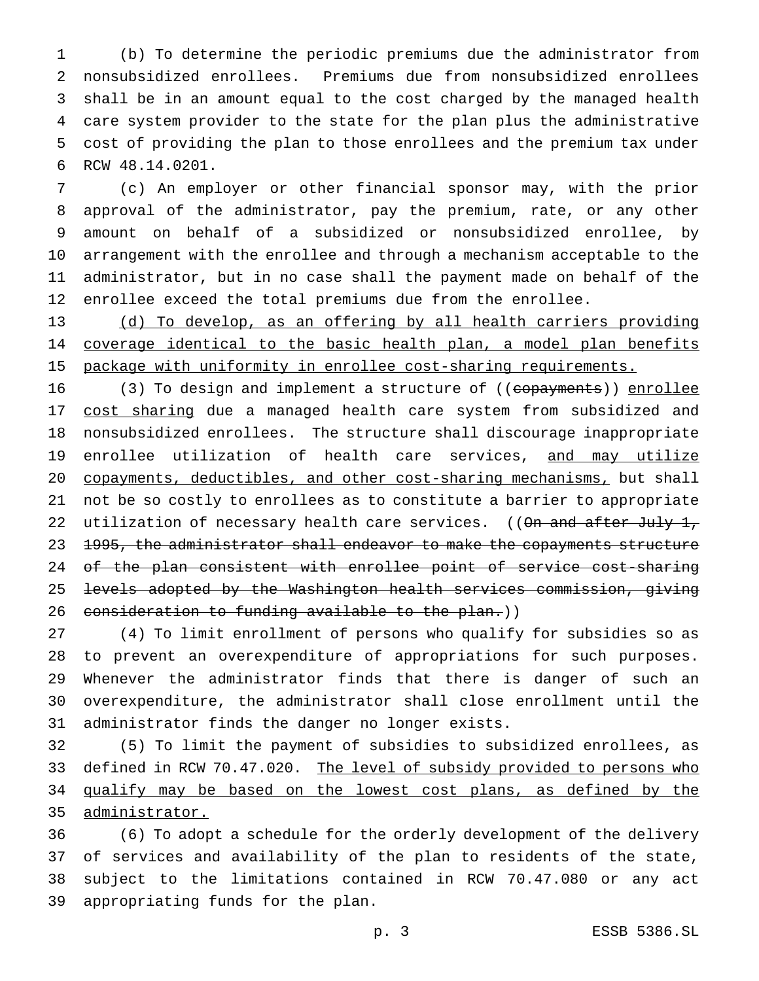(b) To determine the periodic premiums due the administrator from nonsubsidized enrollees. Premiums due from nonsubsidized enrollees shall be in an amount equal to the cost charged by the managed health care system provider to the state for the plan plus the administrative cost of providing the plan to those enrollees and the premium tax under RCW 48.14.0201.

 (c) An employer or other financial sponsor may, with the prior approval of the administrator, pay the premium, rate, or any other amount on behalf of a subsidized or nonsubsidized enrollee, by arrangement with the enrollee and through a mechanism acceptable to the administrator, but in no case shall the payment made on behalf of the enrollee exceed the total premiums due from the enrollee.

 (d) To develop, as an offering by all health carriers providing 14 coverage identical to the basic health plan, a model plan benefits package with uniformity in enrollee cost-sharing requirements.

16 (3) To design and implement a structure of ((copayments)) enrollee 17 cost sharing due a managed health care system from subsidized and nonsubsidized enrollees. The structure shall discourage inappropriate 19 enrollee utilization of health care services, and may utilize copayments, deductibles, and other cost-sharing mechanisms, but shall not be so costly to enrollees as to constitute a barrier to appropriate 22 utilization of necessary health care services. ((<del>On and after July 1,</del> 23 1995, the administrator shall endeavor to make the copayments structure 24 of the plan consistent with enrollee point of service cost-sharing levels adopted by the Washington health services commission, giving 26 consideration to funding available to the plan.))

 (4) To limit enrollment of persons who qualify for subsidies so as to prevent an overexpenditure of appropriations for such purposes. Whenever the administrator finds that there is danger of such an overexpenditure, the administrator shall close enrollment until the administrator finds the danger no longer exists.

 (5) To limit the payment of subsidies to subsidized enrollees, as 33 defined in RCW 70.47.020. The level of subsidy provided to persons who 34 qualify may be based on the lowest cost plans, as defined by the administrator.

 (6) To adopt a schedule for the orderly development of the delivery of services and availability of the plan to residents of the state, subject to the limitations contained in RCW 70.47.080 or any act appropriating funds for the plan.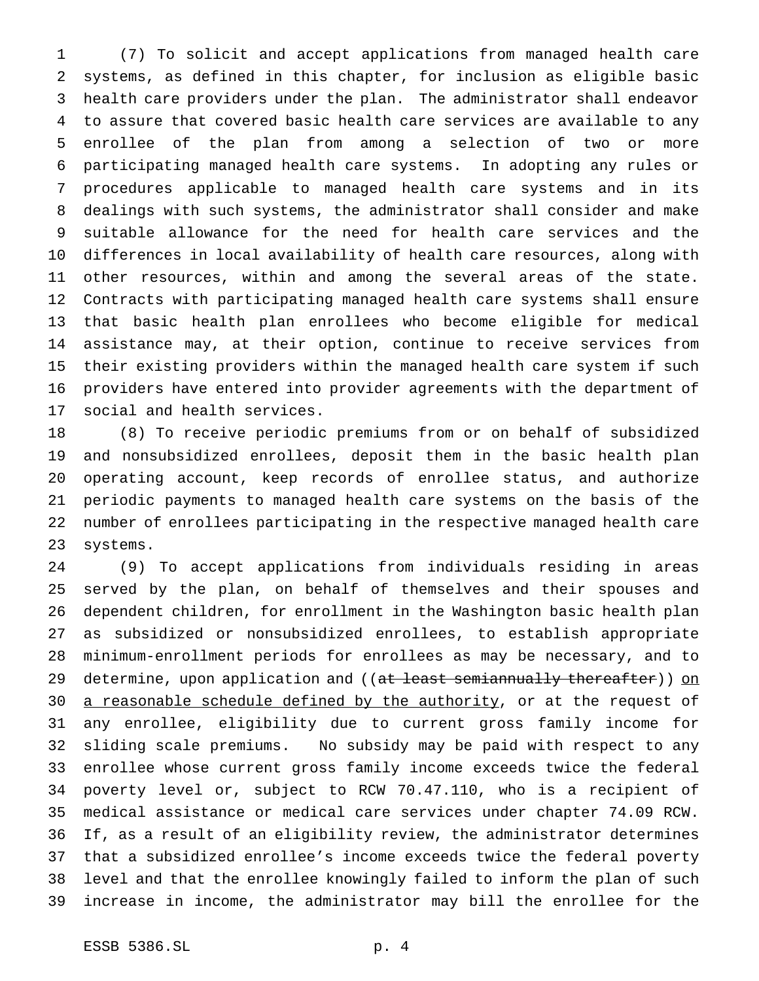(7) To solicit and accept applications from managed health care systems, as defined in this chapter, for inclusion as eligible basic health care providers under the plan. The administrator shall endeavor to assure that covered basic health care services are available to any enrollee of the plan from among a selection of two or more participating managed health care systems. In adopting any rules or procedures applicable to managed health care systems and in its dealings with such systems, the administrator shall consider and make suitable allowance for the need for health care services and the differences in local availability of health care resources, along with other resources, within and among the several areas of the state. Contracts with participating managed health care systems shall ensure that basic health plan enrollees who become eligible for medical assistance may, at their option, continue to receive services from their existing providers within the managed health care system if such providers have entered into provider agreements with the department of social and health services.

 (8) To receive periodic premiums from or on behalf of subsidized and nonsubsidized enrollees, deposit them in the basic health plan operating account, keep records of enrollee status, and authorize periodic payments to managed health care systems on the basis of the number of enrollees participating in the respective managed health care systems.

 (9) To accept applications from individuals residing in areas served by the plan, on behalf of themselves and their spouses and dependent children, for enrollment in the Washington basic health plan as subsidized or nonsubsidized enrollees, to establish appropriate minimum-enrollment periods for enrollees as may be necessary, and to 29 determine, upon application and ((at least semiannually thereafter)) on 30 a reasonable schedule defined by the authority, or at the request of any enrollee, eligibility due to current gross family income for sliding scale premiums. No subsidy may be paid with respect to any enrollee whose current gross family income exceeds twice the federal poverty level or, subject to RCW 70.47.110, who is a recipient of medical assistance or medical care services under chapter 74.09 RCW. If, as a result of an eligibility review, the administrator determines that a subsidized enrollee's income exceeds twice the federal poverty level and that the enrollee knowingly failed to inform the plan of such increase in income, the administrator may bill the enrollee for the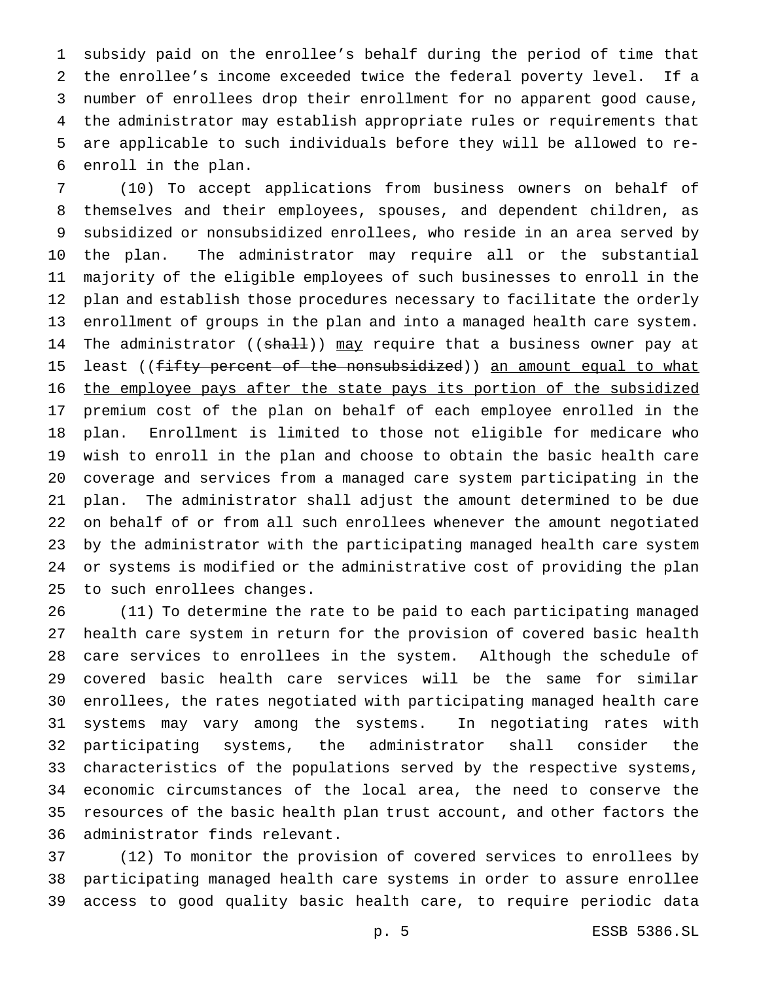subsidy paid on the enrollee's behalf during the period of time that the enrollee's income exceeded twice the federal poverty level. If a number of enrollees drop their enrollment for no apparent good cause, the administrator may establish appropriate rules or requirements that are applicable to such individuals before they will be allowed to re-enroll in the plan.

 (10) To accept applications from business owners on behalf of themselves and their employees, spouses, and dependent children, as subsidized or nonsubsidized enrollees, who reside in an area served by the plan. The administrator may require all or the substantial majority of the eligible employees of such businesses to enroll in the plan and establish those procedures necessary to facilitate the orderly enrollment of groups in the plan and into a managed health care system. 14 The administrator ((shall)) may require that a business owner pay at 15 least ((fifty percent of the nonsubsidized)) an amount equal to what 16 the employee pays after the state pays its portion of the subsidized premium cost of the plan on behalf of each employee enrolled in the plan. Enrollment is limited to those not eligible for medicare who wish to enroll in the plan and choose to obtain the basic health care coverage and services from a managed care system participating in the plan. The administrator shall adjust the amount determined to be due on behalf of or from all such enrollees whenever the amount negotiated by the administrator with the participating managed health care system or systems is modified or the administrative cost of providing the plan to such enrollees changes.

 (11) To determine the rate to be paid to each participating managed health care system in return for the provision of covered basic health care services to enrollees in the system. Although the schedule of covered basic health care services will be the same for similar enrollees, the rates negotiated with participating managed health care systems may vary among the systems. In negotiating rates with participating systems, the administrator shall consider the characteristics of the populations served by the respective systems, economic circumstances of the local area, the need to conserve the resources of the basic health plan trust account, and other factors the administrator finds relevant.

 (12) To monitor the provision of covered services to enrollees by participating managed health care systems in order to assure enrollee access to good quality basic health care, to require periodic data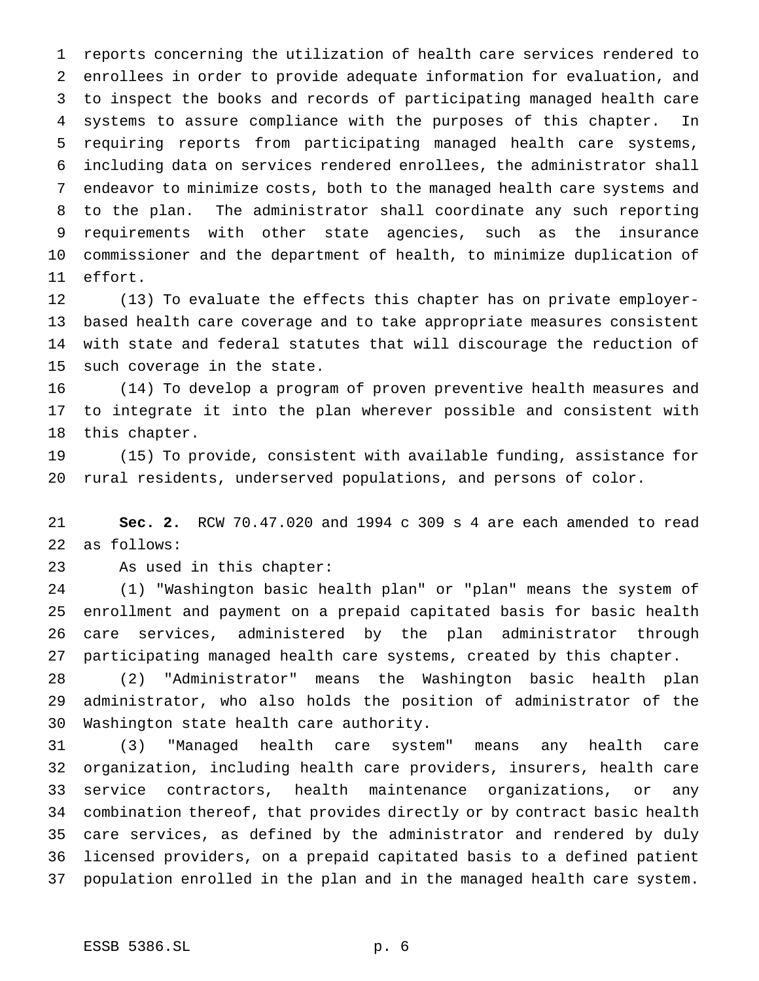reports concerning the utilization of health care services rendered to enrollees in order to provide adequate information for evaluation, and to inspect the books and records of participating managed health care systems to assure compliance with the purposes of this chapter. In requiring reports from participating managed health care systems, including data on services rendered enrollees, the administrator shall endeavor to minimize costs, both to the managed health care systems and to the plan. The administrator shall coordinate any such reporting requirements with other state agencies, such as the insurance commissioner and the department of health, to minimize duplication of effort.

 (13) To evaluate the effects this chapter has on private employer- based health care coverage and to take appropriate measures consistent with state and federal statutes that will discourage the reduction of such coverage in the state.

 (14) To develop a program of proven preventive health measures and to integrate it into the plan wherever possible and consistent with this chapter.

 (15) To provide, consistent with available funding, assistance for rural residents, underserved populations, and persons of color.

 **Sec. 2.** RCW 70.47.020 and 1994 c 309 s 4 are each amended to read as follows:

As used in this chapter:

 (1) "Washington basic health plan" or "plan" means the system of enrollment and payment on a prepaid capitated basis for basic health care services, administered by the plan administrator through participating managed health care systems, created by this chapter.

 (2) "Administrator" means the Washington basic health plan administrator, who also holds the position of administrator of the Washington state health care authority.

 (3) "Managed health care system" means any health care organization, including health care providers, insurers, health care service contractors, health maintenance organizations, or any combination thereof, that provides directly or by contract basic health care services, as defined by the administrator and rendered by duly licensed providers, on a prepaid capitated basis to a defined patient population enrolled in the plan and in the managed health care system.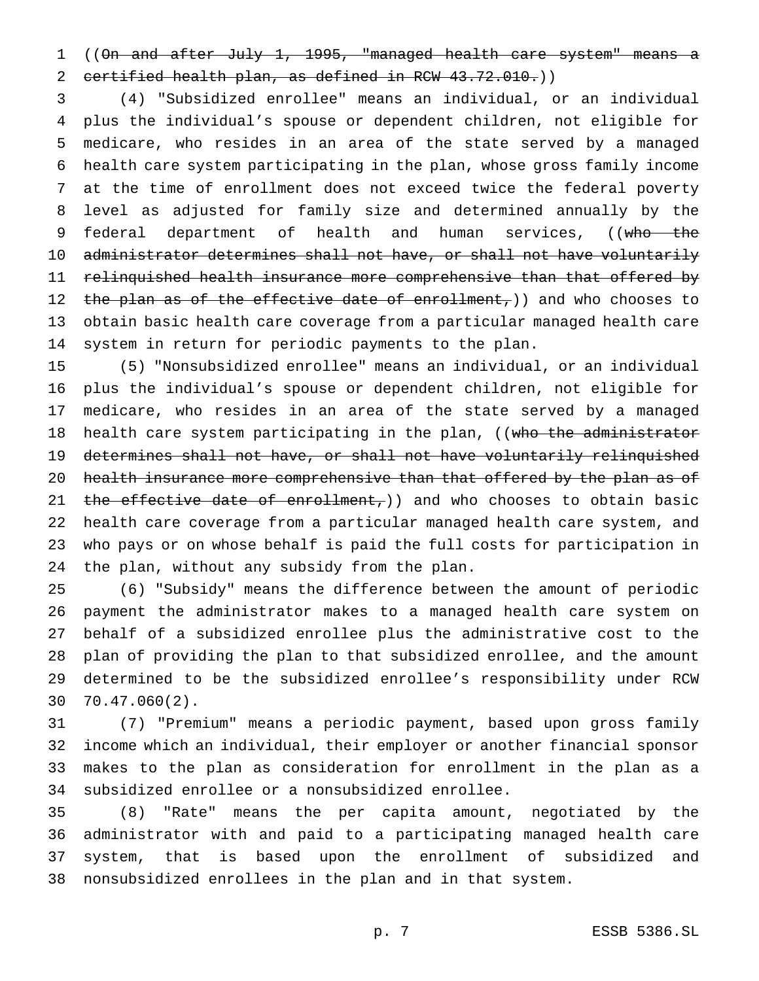((On and after July 1, 1995, "managed health care system" means a 2 certified health plan, as defined in RCW 43.72.010.))

 (4) "Subsidized enrollee" means an individual, or an individual plus the individual's spouse or dependent children, not eligible for medicare, who resides in an area of the state served by a managed health care system participating in the plan, whose gross family income at the time of enrollment does not exceed twice the federal poverty level as adjusted for family size and determined annually by the 9 federal department of health and human services, ((who the administrator determines shall not have, or shall not have voluntarily relinquished health insurance more comprehensive than that offered by 12 the plan as of the effective date of enrollment,)) and who chooses to obtain basic health care coverage from a particular managed health care system in return for periodic payments to the plan.

 (5) "Nonsubsidized enrollee" means an individual, or an individual plus the individual's spouse or dependent children, not eligible for medicare, who resides in an area of the state served by a managed 18 health care system participating in the plan, ((who the administrator determines shall not have, or shall not have voluntarily relinquished 20 health insurance more comprehensive than that offered by the plan as of 21 the effective date of enrollment,) and who chooses to obtain basic health care coverage from a particular managed health care system, and who pays or on whose behalf is paid the full costs for participation in the plan, without any subsidy from the plan.

 (6) "Subsidy" means the difference between the amount of periodic payment the administrator makes to a managed health care system on behalf of a subsidized enrollee plus the administrative cost to the plan of providing the plan to that subsidized enrollee, and the amount determined to be the subsidized enrollee's responsibility under RCW 70.47.060(2).

 (7) "Premium" means a periodic payment, based upon gross family income which an individual, their employer or another financial sponsor makes to the plan as consideration for enrollment in the plan as a subsidized enrollee or a nonsubsidized enrollee.

 (8) "Rate" means the per capita amount, negotiated by the administrator with and paid to a participating managed health care system, that is based upon the enrollment of subsidized and nonsubsidized enrollees in the plan and in that system.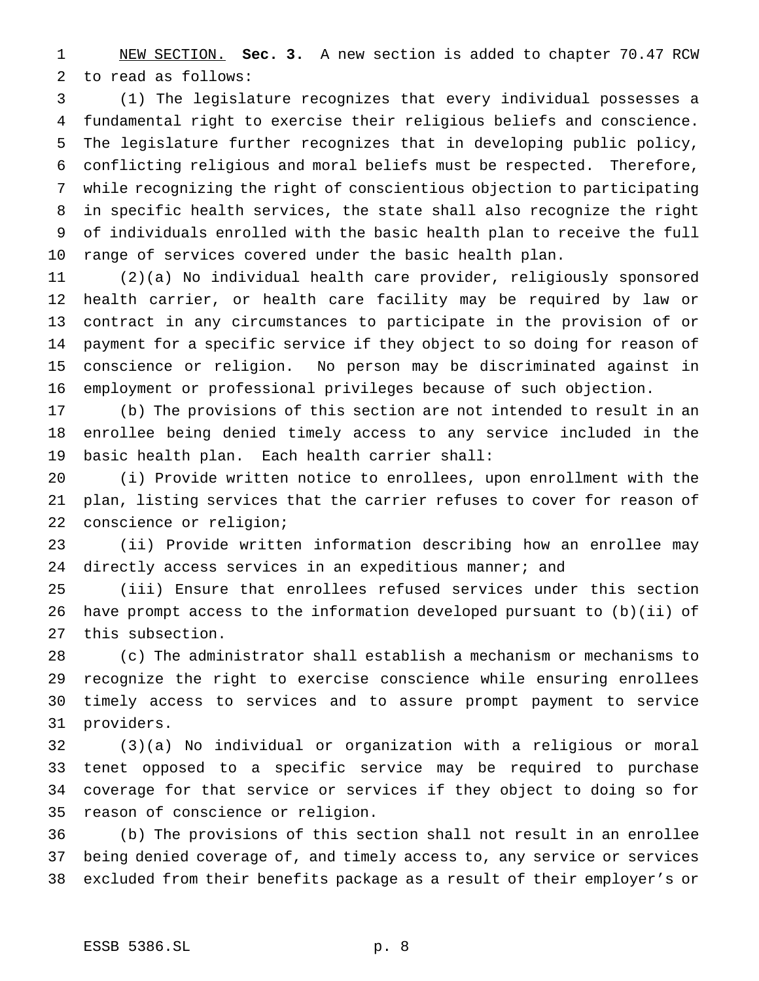NEW SECTION. **Sec. 3.** A new section is added to chapter 70.47 RCW to read as follows:

 (1) The legislature recognizes that every individual possesses a fundamental right to exercise their religious beliefs and conscience. The legislature further recognizes that in developing public policy, conflicting religious and moral beliefs must be respected. Therefore, while recognizing the right of conscientious objection to participating in specific health services, the state shall also recognize the right of individuals enrolled with the basic health plan to receive the full range of services covered under the basic health plan.

 (2)(a) No individual health care provider, religiously sponsored health carrier, or health care facility may be required by law or contract in any circumstances to participate in the provision of or payment for a specific service if they object to so doing for reason of conscience or religion. No person may be discriminated against in employment or professional privileges because of such objection.

 (b) The provisions of this section are not intended to result in an enrollee being denied timely access to any service included in the basic health plan. Each health carrier shall:

 (i) Provide written notice to enrollees, upon enrollment with the plan, listing services that the carrier refuses to cover for reason of conscience or religion;

 (ii) Provide written information describing how an enrollee may 24 directly access services in an expeditious manner; and

 (iii) Ensure that enrollees refused services under this section have prompt access to the information developed pursuant to (b)(ii) of this subsection.

 (c) The administrator shall establish a mechanism or mechanisms to recognize the right to exercise conscience while ensuring enrollees timely access to services and to assure prompt payment to service providers.

 (3)(a) No individual or organization with a religious or moral tenet opposed to a specific service may be required to purchase coverage for that service or services if they object to doing so for reason of conscience or religion.

 (b) The provisions of this section shall not result in an enrollee being denied coverage of, and timely access to, any service or services excluded from their benefits package as a result of their employer's or